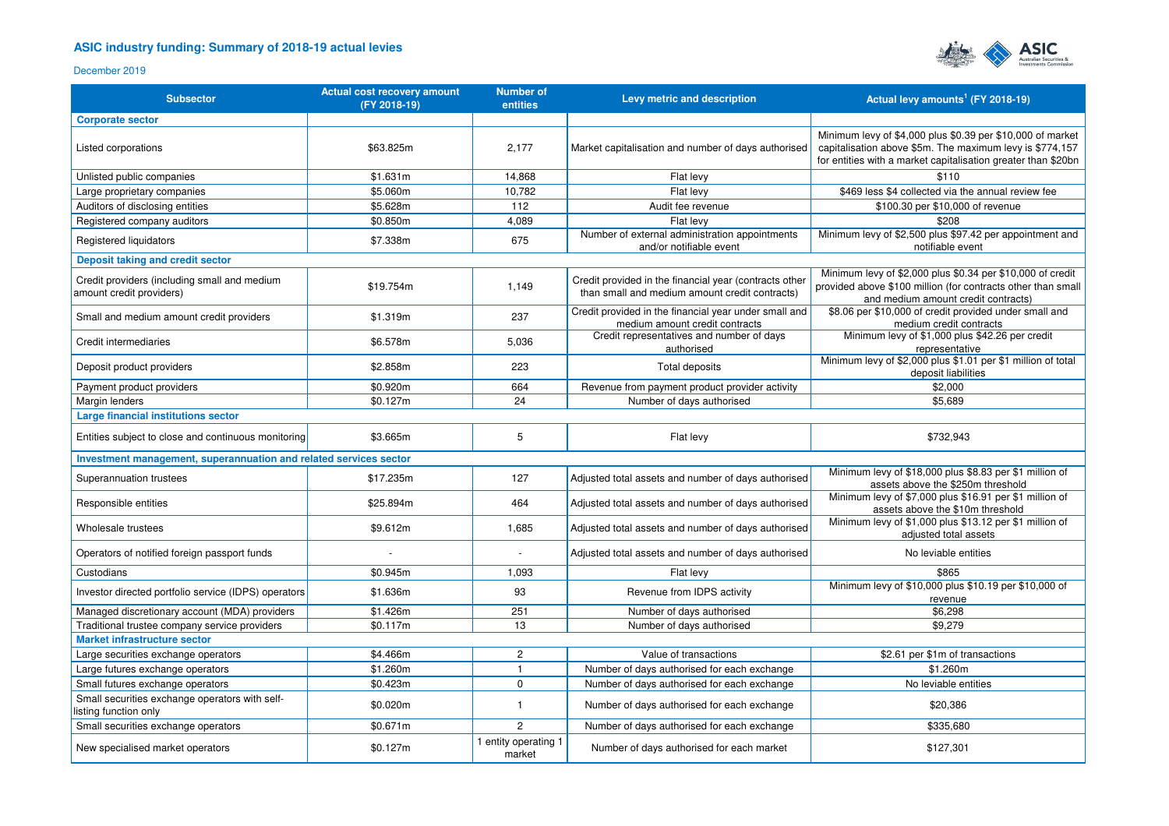## **ASIC industry funding: Summary of 2018-19 actual levies**



## December 2019

| <b>Subsector</b>                                                         | <b>Actual cost recovery amount</b><br>(FY 2018-19) | <b>Number of</b><br>entities   | Levy metric and description                                                                              | Actual levy amounts <sup>1</sup> (FY 2018-19)                                                                                                                                           |  |  |  |
|--------------------------------------------------------------------------|----------------------------------------------------|--------------------------------|----------------------------------------------------------------------------------------------------------|-----------------------------------------------------------------------------------------------------------------------------------------------------------------------------------------|--|--|--|
| <b>Corporate sector</b>                                                  |                                                    |                                |                                                                                                          |                                                                                                                                                                                         |  |  |  |
| Listed corporations                                                      | \$63.825m                                          | 2.177                          | Market capitalisation and number of days authorised                                                      | Minimum levy of \$4,000 plus \$0.39 per \$10,000 of market<br>capitalisation above \$5m. The maximum levy is \$774,157<br>for entities with a market capitalisation greater than \$20bn |  |  |  |
| Unlisted public companies                                                | \$1.631m                                           | 14,868                         | Flat levy                                                                                                | \$110                                                                                                                                                                                   |  |  |  |
| Large proprietary companies                                              | \$5.060m                                           | 10,782                         | Flat levy                                                                                                | \$469 less \$4 collected via the annual review fee                                                                                                                                      |  |  |  |
| Auditors of disclosing entities                                          | \$5.628m                                           | 112                            | Audit fee revenue                                                                                        | \$100.30 per \$10,000 of revenue                                                                                                                                                        |  |  |  |
| Registered company auditors                                              | \$0.850m                                           | 4,089                          | Flat levy                                                                                                | \$208                                                                                                                                                                                   |  |  |  |
| Registered liquidators                                                   | \$7.338m                                           | 675                            | Number of external administration appointments<br>and/or notifiable event                                | Minimum levy of \$2,500 plus \$97.42 per appointment and<br>notifiable event                                                                                                            |  |  |  |
| Deposit taking and credit sector                                         |                                                    |                                |                                                                                                          |                                                                                                                                                                                         |  |  |  |
| Credit providers (including small and medium<br>amount credit providers) | \$19.754m                                          | 1,149                          | Credit provided in the financial year (contracts other<br>than small and medium amount credit contracts) | Minimum levy of \$2,000 plus \$0.34 per \$10,000 of credit<br>provided above \$100 million (for contracts other than small<br>and medium amount credit contracts)                       |  |  |  |
| Small and medium amount credit providers                                 | \$1.319m                                           | 237                            | Credit provided in the financial year under small and<br>medium amount credit contracts                  | \$8.06 per \$10,000 of credit provided under small and<br>medium credit contracts                                                                                                       |  |  |  |
| Credit intermediaries                                                    | \$6.578m                                           | 5,036                          | Credit representatives and number of days<br>authorised                                                  | Minimum levy of \$1,000 plus \$42.26 per credit<br>representative                                                                                                                       |  |  |  |
| Deposit product providers                                                | \$2.858m                                           | 223                            | Total deposits                                                                                           | Minimum levy of \$2,000 plus \$1.01 per \$1 million of total<br>deposit liabilities                                                                                                     |  |  |  |
| Payment product providers                                                | \$0.920m                                           | 664                            | Revenue from payment product provider activity                                                           | \$2,000                                                                                                                                                                                 |  |  |  |
| Margin lenders                                                           | \$0.127m                                           | 24                             | Number of days authorised                                                                                | \$5,689                                                                                                                                                                                 |  |  |  |
| Large financial institutions sector                                      |                                                    |                                |                                                                                                          |                                                                                                                                                                                         |  |  |  |
| Entities subject to close and continuous monitoring                      | \$3.665m                                           | 5                              | Flat levy                                                                                                | \$732,943                                                                                                                                                                               |  |  |  |
| Investment management, superannuation and related services sector        |                                                    |                                |                                                                                                          |                                                                                                                                                                                         |  |  |  |
| Superannuation trustees                                                  | \$17.235m                                          | 127                            | Adjusted total assets and number of days authorised                                                      | Minimum levy of \$18,000 plus \$8.83 per \$1 million of<br>assets above the \$250m threshold                                                                                            |  |  |  |
| Responsible entities                                                     | \$25.894m                                          | 464                            | Adjusted total assets and number of days authorised                                                      | Minimum levy of \$7,000 plus \$16.91 per \$1 million of<br>assets above the \$10m threshold                                                                                             |  |  |  |
| Wholesale trustees                                                       | \$9.612m                                           | 1,685                          | Adjusted total assets and number of days authorised                                                      | Minimum levy of \$1,000 plus \$13.12 per \$1 million of<br>adjusted total assets                                                                                                        |  |  |  |
| Operators of notified foreign passport funds                             |                                                    | $\blacksquare$                 | Adjusted total assets and number of days authorised                                                      | No leviable entities                                                                                                                                                                    |  |  |  |
| Custodians                                                               | \$0.945m                                           | 1,093                          | Flat levy                                                                                                | \$865                                                                                                                                                                                   |  |  |  |
| Investor directed portfolio service (IDPS) operators                     | \$1.636m                                           | 93                             | Revenue from IDPS activity                                                                               | Minimum levy of \$10,000 plus \$10.19 per \$10,000 of<br>revenue                                                                                                                        |  |  |  |
| Managed discretionary account (MDA) providers                            | \$1.426m                                           | 251                            | Number of days authorised                                                                                | \$6,298                                                                                                                                                                                 |  |  |  |
| Traditional trustee company service providers                            | \$0.117m                                           | 13                             | Number of days authorised                                                                                | \$9,279                                                                                                                                                                                 |  |  |  |
| <b>Market infrastructure sector</b>                                      |                                                    |                                |                                                                                                          |                                                                                                                                                                                         |  |  |  |
| Large securities exchange operators                                      | \$4.466m                                           | $\overline{2}$                 | Value of transactions                                                                                    | \$2.61 per \$1m of transactions                                                                                                                                                         |  |  |  |
| Large futures exchange operators                                         | \$1.260m                                           | $\mathbf{1}$                   | Number of days authorised for each exchange                                                              | \$1.260m                                                                                                                                                                                |  |  |  |
| Small futures exchange operators                                         | \$0.423m                                           | $\Omega$                       | Number of days authorised for each exchange                                                              | No leviable entities                                                                                                                                                                    |  |  |  |
| Small securities exchange operators with self-<br>listing function only  | \$0.020m                                           | $\mathbf{1}$                   | Number of days authorised for each exchange                                                              | \$20,386                                                                                                                                                                                |  |  |  |
| Small securities exchange operators                                      | \$0.671m                                           | $\overline{2}$                 | Number of days authorised for each exchange                                                              | \$335,680                                                                                                                                                                               |  |  |  |
| New specialised market operators                                         | \$0.127m                                           | 1 entity operating 1<br>market | Number of days authorised for each market                                                                | \$127,301                                                                                                                                                                               |  |  |  |